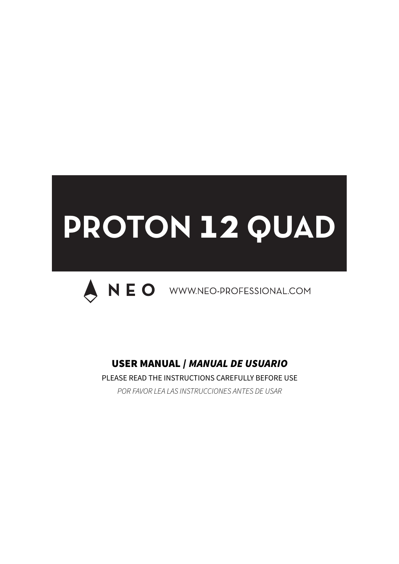# **PROTON 12 QUAD**



# USER MANUAL / *MANUAL DE USUARIO*

PLEASE READ THE INSTRUCTIONS CAREFULLY BEFORE USE *POR FAVOR LEA LAS INSTRUCCIONES ANTES DE USAR*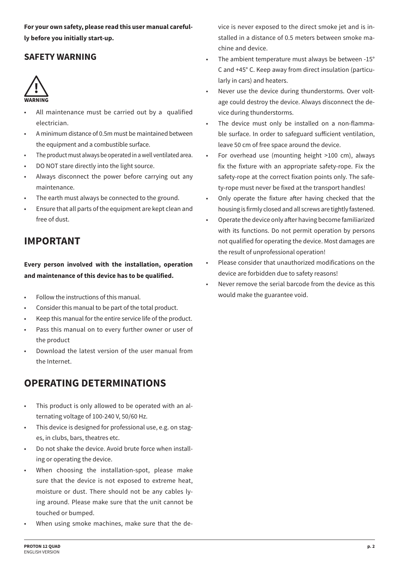**For your own safety, please read this user manual carefully before you initially start-up.** 

#### **SAFETY WARNING**



- All maintenance must be carried out by a qualified electrician.
- A minimum distance of 0.5m must be maintained between the equipment and a combustible surface.
- The product must always be operated in a well ventilated area.
- DO NOT stare directly into the light source.
- Always disconnect the power before carrying out any maintenance.
- The earth must always be connected to the ground.
- Ensure that all parts of the equipment are kept clean and free of dust.

# **IMPORTANT**

**Every person involved with the installation, operation and maintenance of this device has to be qualified.**

- Follow the instructions of this manual.
- Consider this manual to be part of the total product.
- Keep this manual for the entire service life of the product.
- Pass this manual on to every further owner or user of the product
- Download the latest version of the user manual from the Internet.

# **OPERATING DETERMINATIONS**

- This product is only allowed to be operated with an alternating voltage of 100-240 V, 50/60 Hz.
- This device is designed for professional use, e.g. on stages, in clubs, bars, theatres etc.
- Do not shake the device. Avoid brute force when installing or operating the device.
- When choosing the installation-spot, please make sure that the device is not exposed to extreme heat, moisture or dust. There should not be any cables lying around. Please make sure that the unit cannot be touched or bumped.
- When using smoke machines, make sure that the de-

vice is never exposed to the direct smoke jet and is installed in a distance of 0.5 meters between smoke machine and device.

- The ambient temperature must always be between -15° C and +45° C. Keep away from direct insulation (particularly in cars) and heaters.
- Never use the device during thunderstorms. Over voltage could destroy the device. Always disconnect the device during thunderstorms.
- The device must only be installed on a non-flammable surface. In order to safeguard suficient ventilation, leave 50 cm of free space around the device.
- For overhead use (mounting height >100 cm), always fix the fixture with an appropriate safety-rope. Fix the safety-rope at the correct fixation points only. The safety-rope must never be fixed at the transport handles!
- Only operate the fixture after having checked that the housing is firmly closed and all screws are tightly fastened.
- Operate the device only after having become familiarized with its functions. Do not permit operation by persons not qualified for operating the device. Most damages are the result of unprofessional operation!
- Please consider that unauthorized modifications on the device are forbidden due to safety reasons!
- Never remove the serial barcode from the device as this would make the guarantee void.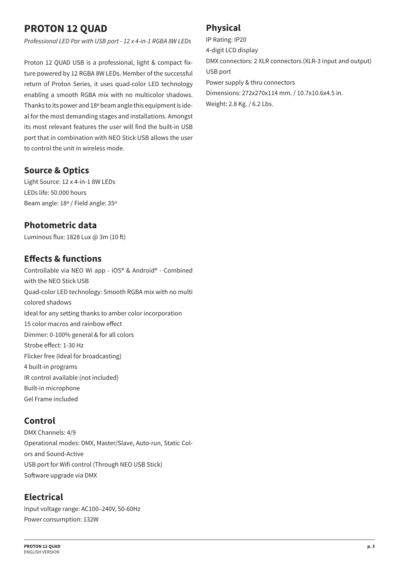# **PROTON 12 QUAD**

*Professional LED Par with USB port - 12 x 4-in-1 RGBA 8W LEDs*

Proton 12 QUAD USB is a professional, light & compact fixture powered by 12 RGBA 8W LEDs. Member of the successful return of Proton Series, it uses quad-color LED technology enabling a smooth RGBA mix with no multicolor shadows. Thanks to its power and 18º beam angle this equipment is ideal for the most demanding stages and installations. Amongst its most relevant features the user will find the built-in USB port that in combination with NEO Stick USB allows the user to control the unit in wireless mode.

#### **Source & Optics**

Light Source: 12 x 4-in-1 8W LEDs LEDs life: 50.000 hours Beam angle: 18º / Field angle: 35º

#### **Photometric data**

Luminous flux: 1828 Lux @ 3m (10 ft)

## **Efects & functions**

Controllable via NEO Wi app - iOS® & Android® - Combined with the NEO Stick USB Quad-color LED technology: Smooth RGBA mix with no multi colored shadows Ideal for any setting thanks to amber color incorporation 15 color macros and rainbow efect Dimmer: 0-100% general & for all colors Strobe efect: 1-30 Hz Flicker free (Ideal for broadcasting) 4 built-in programs IR control available (not included) Built-in microphone Gel Frame included

#### **Control**

DMX Channels: 4/9 Operational modes: DMX, Master/Slave, Auto-run, Static Colors and Sound-Active USB port for Wifi control (Through NEO USB Stick) Software upgrade via DMX

## **Electrical**

Input voltage range: AC100–240V, 50-60Hz Power consumption: 132W

## **Physical**

IP Rating: IP20 4-digit LCD display DMX connectors: 2 XLR connectors (XLR-3 input and output) USB port Power supply & thru connectors Dimensions: 272x270x114 mm. / 10.7x10.6x4.5 in. Weight: 2.8 Kg. / 6.2 Lbs.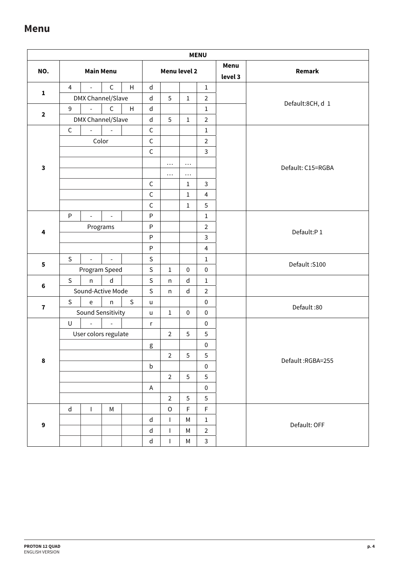## **Menu**

|                  |                |                                            |                          |              |                              |                |                | <b>MENU</b>    |                 |                   |  |  |
|------------------|----------------|--------------------------------------------|--------------------------|--------------|------------------------------|----------------|----------------|----------------|-----------------|-------------------|--|--|
| NO.              |                | <b>Main Menu</b>                           |                          |              |                              | Menu level 2   |                |                | Menu<br>level 3 | Remark            |  |  |
|                  | $\overline{4}$ |                                            | $\mathsf C$              | H            | $\sf d$                      |                |                | $\mathbf 1$    |                 |                   |  |  |
| $\mathbf{1}$     |                | DMX Channel/Slave                          |                          |              | $\sf d$                      | 5              | $1\,$          | $\overline{2}$ |                 | Default:8CH, d 1  |  |  |
| $\mathbf{2}$     | 9              |                                            | $\mathsf{C}$             | H            | $\sf d$                      |                |                | $\mathbf 1$    |                 |                   |  |  |
|                  |                | DMX Channel/Slave                          |                          |              | $\sf d$                      | 5              | $\mathbf{1}$   | $\overline{2}$ |                 |                   |  |  |
|                  | $\mathsf C$    | $\overline{a}$                             | $\overline{\phantom{a}}$ |              | $\mathsf C$                  |                |                | $\mathbf 1$    |                 |                   |  |  |
|                  |                |                                            | Color                    |              | $\mathsf C$                  |                |                | $\overline{2}$ |                 |                   |  |  |
|                  |                |                                            |                          |              | $\mathsf C$                  |                |                | 3              |                 |                   |  |  |
| $\mathbf{3}$     |                |                                            |                          |              |                              | $\ldots$       | $\cdots$       |                |                 | Default: C15=RGBA |  |  |
|                  |                |                                            |                          |              |                              | $\cdots$       | $\cdots$       |                |                 |                   |  |  |
|                  |                |                                            |                          |              | $\mathsf C$                  |                | $\mathbf 1$    | 3              |                 |                   |  |  |
|                  |                |                                            |                          |              | $\mathsf C$                  |                | $1\,$          | $\overline{4}$ |                 |                   |  |  |
|                  |                |                                            |                          |              | $\mathsf C$                  |                | $\mathbf{1}$   | 5              |                 |                   |  |  |
|                  | P              |                                            |                          |              | $\sf P$                      |                |                | $\mathbf 1$    |                 |                   |  |  |
| 4                |                | Programs                                   |                          |              | $\mathsf{P}$<br>$\mathsf{P}$ |                |                | $\overline{2}$ |                 | Default:P1        |  |  |
|                  |                |                                            |                          |              |                              |                |                | 3              |                 |                   |  |  |
|                  |                |                                            |                          |              | $\sf P$                      |                |                | $\overline{4}$ |                 |                   |  |  |
| 5                | $\mathsf{S}$   | $\overline{\phantom{a}}$                   | $\equiv$                 |              | $\mathsf{S}$                 |                |                | $\mathbf 1$    |                 | Default: S100     |  |  |
|                  |                | Program Speed                              |                          |              | $\mathsf S$                  | $\mathbf{1}$   | $\pmb{0}$      | $\pmb{0}$      |                 |                   |  |  |
| 6                | $\mathsf{S}$   | $\mathsf{n}$                               | $\sf d$                  |              | $\mathsf S$                  | n              | $\sf d$        | $\mathbf 1$    |                 |                   |  |  |
|                  |                | Sound-Active Mode                          |                          |              | $\mathsf{S}$                 | n              | $\mathsf{d}$   | $\overline{2}$ |                 |                   |  |  |
| $\mathbf{7}$     | $\mathsf S$    | $\mathsf{e}% _{0}\left( \mathsf{e}\right)$ | n                        | $\mathsf{S}$ | $\sf u$                      |                |                | $\pmb{0}$      |                 | Default:80        |  |  |
|                  |                | Sound Sensitivity                          |                          |              | $\sf u$                      | $\mathbf{1}$   | $\pmb{0}$      | $\pmb{0}$      |                 |                   |  |  |
|                  | $\sf U$        | $\overline{a}$                             | $\overline{\phantom{a}}$ |              | r                            |                |                | $\pmb{0}$      |                 |                   |  |  |
|                  |                | User colors regulate                       |                          |              |                              | $\overline{2}$ | 5              | $\sqrt{5}$     |                 |                   |  |  |
|                  |                |                                            |                          |              | g                            |                |                | $\pmb{0}$      |                 |                   |  |  |
| $\pmb{8}$        |                |                                            |                          |              |                              | $\overline{2}$ | 5              | 5              |                 | Default:RGBA=255  |  |  |
|                  |                |                                            |                          |              | $\mathsf b$                  |                |                | $\pmb{0}$      |                 |                   |  |  |
|                  |                |                                            |                          |              |                              | $\mathbf 2$    | 5              | 5              |                 |                   |  |  |
|                  |                |                                            |                          |              | $\mathsf A$                  |                |                | $\pmb{0}$      |                 |                   |  |  |
|                  |                |                                            |                          |              |                              | $\overline{2}$ | $\overline{5}$ | $\sqrt{5}$     |                 |                   |  |  |
|                  | $\mathsf{d}$   | I                                          | M                        |              |                              | $\mathsf O$    | F              | F              |                 |                   |  |  |
| $\boldsymbol{9}$ |                |                                            |                          |              | $\sf d$                      | $\mathbf{I}$   | M              | $\mathbf 1$    |                 | Default: OFF      |  |  |
|                  |                |                                            |                          |              | ${\sf d}$                    | $\mathbf{I}$   | M              | $\overline{2}$ |                 |                   |  |  |
|                  |                |                                            |                          |              | ${\sf d}$                    | $\mathbf{I}$   | M              | $\mathsf{3}$   |                 |                   |  |  |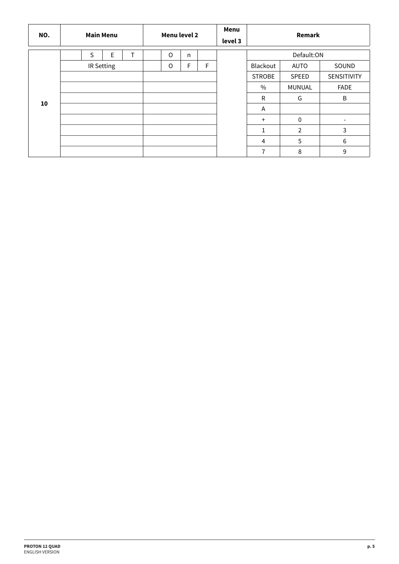| NO. | <b>Main Menu</b> | Menu level 2 |              |   | Menu<br>level 3 | Remark         |                |                          |
|-----|------------------|--------------|--------------|---|-----------------|----------------|----------------|--------------------------|
|     | E<br>T.<br>S     | $\circ$      | $\mathsf{n}$ |   |                 |                | Default:ON     |                          |
|     | IR Setting       | O            | F            | F |                 | Blackout       | AUTO           | SOUND                    |
|     |                  |              |              |   |                 | <b>STROBE</b>  | SPEED          | SENSITIVITY              |
|     |                  |              |              |   |                 | $\frac{0}{0}$  | <b>MUNUAL</b>  | <b>FADE</b>              |
| 10  |                  |              |              |   |                 | $\mathsf{R}$   | G              | B                        |
|     |                  |              |              |   |                 | Α              |                |                          |
|     |                  |              |              |   |                 | $+$            | $\mathbf{0}$   | $\overline{\phantom{a}}$ |
|     |                  |              |              |   |                 | 1              | $\overline{2}$ | 3                        |
|     |                  |              |              |   |                 | $\overline{4}$ | 5              | 6                        |
|     |                  |              |              |   |                 | $\overline{7}$ | 8              | 9                        |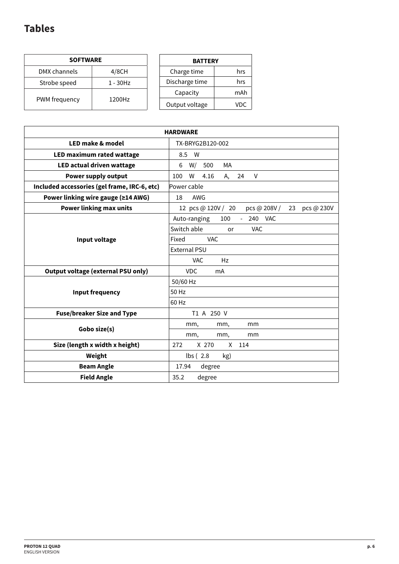# **Tables**

| <b>SOFTWARE</b> |          |  |  |  |  |  |  |  |
|-----------------|----------|--|--|--|--|--|--|--|
| DMX channels    | 4/8CH    |  |  |  |  |  |  |  |
| Strobe speed    | 1 - 30Hz |  |  |  |  |  |  |  |
| PWM frequency   | 1200Hz   |  |  |  |  |  |  |  |

| <b>BATTERY</b> |     |  |  |  |  |  |  |
|----------------|-----|--|--|--|--|--|--|
| Charge time    | hrs |  |  |  |  |  |  |
| Discharge time | hrs |  |  |  |  |  |  |
| Capacity       | mAh |  |  |  |  |  |  |
| Output voltage | VDC |  |  |  |  |  |  |

| <b>HARDWARE</b>                              |                                                        |  |  |  |  |  |
|----------------------------------------------|--------------------------------------------------------|--|--|--|--|--|
| LED make & model<br>TX-BRYG2B120-002         |                                                        |  |  |  |  |  |
| LED maximum rated wattage                    | 8.5<br>W                                               |  |  |  |  |  |
| LED actual driven wattage                    | W/<br>МA<br>6<br>500                                   |  |  |  |  |  |
| Power supply output                          | W<br>100<br>4.16<br>А,<br>24<br>V                      |  |  |  |  |  |
| Included accessories (gel frame, IRC-6, etc) | Power cable                                            |  |  |  |  |  |
| Power linking wire gauge (≥14 AWG)           | 18<br>AWG                                              |  |  |  |  |  |
| <b>Power linking max units</b>               | 12 pcs @ 120V / 20<br>pcs @ 208V /<br>23<br>pcs @ 230V |  |  |  |  |  |
|                                              | Auto-ranging<br>100<br>240 VAC<br>$\omega_{\rm{eff}}$  |  |  |  |  |  |
|                                              | Switch able<br><b>VAC</b><br>or                        |  |  |  |  |  |
| Input voltage                                | VAC.<br>Fixed                                          |  |  |  |  |  |
|                                              | <b>External PSU</b>                                    |  |  |  |  |  |
|                                              | Hz<br><b>VAC</b>                                       |  |  |  |  |  |
| <b>Output voltage (external PSU only)</b>    | <b>VDC</b><br>mA                                       |  |  |  |  |  |
|                                              | 50/60 Hz                                               |  |  |  |  |  |
| Input frequency                              | 50 Hz                                                  |  |  |  |  |  |
|                                              | 60 Hz                                                  |  |  |  |  |  |
| <b>Fuse/breaker Size and Type</b>            | T1 A 250 V                                             |  |  |  |  |  |
|                                              | mm,<br>mm,<br>mm                                       |  |  |  |  |  |
| Gobo size(s)                                 | mm,<br>mm,<br>mm                                       |  |  |  |  |  |
| Size (length x width x height)               | 272<br>X 270<br>114<br>X                               |  |  |  |  |  |
| Weight                                       | $\mathsf{lbs}$ (2.8)<br>kg)                            |  |  |  |  |  |
| <b>Beam Angle</b>                            | 17.94<br>degree                                        |  |  |  |  |  |
| <b>Field Angle</b>                           | degree<br>35.2                                         |  |  |  |  |  |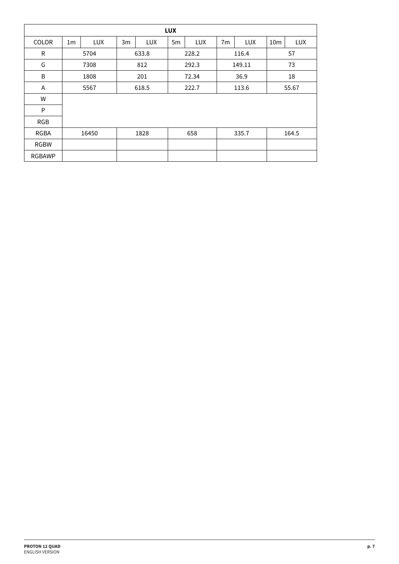|               | <b>LUX</b>     |             |       |            |                |       |                |            |                 |       |  |
|---------------|----------------|-------------|-------|------------|----------------|-------|----------------|------------|-----------------|-------|--|
| <b>COLOR</b>  | 1 <sub>m</sub> | <b>LUX</b>  | 3m    | <b>LUX</b> | 5 <sub>m</sub> | LUX   | 7 <sub>m</sub> | <b>LUX</b> | 10 <sub>m</sub> | LUX   |  |
| R             | 633.8<br>5704  |             |       | 228.2      |                | 116.4 |                |            | 57              |       |  |
| G             |                | 7308<br>812 |       |            | 292.3          |       | 149.11         |            | 73              |       |  |
| B             | 1808           |             | 201   |            | 72.34          |       | 36.9           |            | 18              |       |  |
| A             | 5567           |             | 618.5 |            | 222.7          |       | 113.6          |            |                 | 55.67 |  |
| W             |                |             |       |            |                |       |                |            |                 |       |  |
| P             |                |             |       |            |                |       |                |            |                 |       |  |
| <b>RGB</b>    |                |             |       |            |                |       |                |            |                 |       |  |
| <b>RGBA</b>   | 1828<br>16450  |             |       | 658        |                | 335.7 |                | 164.5      |                 |       |  |
| <b>RGBW</b>   |                |             |       |            |                |       |                |            |                 |       |  |
| <b>RGBAWP</b> |                |             |       |            |                |       |                |            |                 |       |  |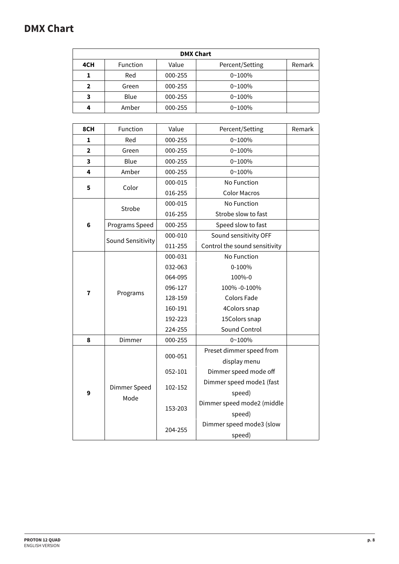# **DMX Chart**

| <b>DMX Chart</b> |                 |         |                 |        |  |  |  |  |  |
|------------------|-----------------|---------|-----------------|--------|--|--|--|--|--|
| 4CH              | <b>Function</b> | Value   | Percent/Setting | Remark |  |  |  |  |  |
| 1                | Red             | 000-255 | $0 - 100%$      |        |  |  |  |  |  |
| $\mathbf 2$      | Green           | 000-255 | $0 - 100%$      |        |  |  |  |  |  |
| 3                | Blue            | 000-255 | $0 - 100%$      |        |  |  |  |  |  |
| 4                | Amber           | 000-255 | $0 - 100%$      |        |  |  |  |  |  |

| 8CH            | Function          | Value   | Percent/Setting               | Remark |
|----------------|-------------------|---------|-------------------------------|--------|
| 1              | Red               | 000-255 | $0 - 100%$                    |        |
| $\overline{2}$ | Green             | 000-255 | $0 - 100%$                    |        |
| 3              | Blue              | 000-255 | $0 - 100%$                    |        |
| 4              | Amber             | 000-255 | $0 - 100%$                    |        |
| 5              |                   | 000-015 | No Function                   |        |
|                | Color             | 016-255 | <b>Color Macros</b>           |        |
|                |                   | 000-015 | No Function                   |        |
|                | Strobe            | 016-255 | Strobe slow to fast           |        |
| 6              | Programs Speed    | 000-255 | Speed slow to fast            |        |
|                |                   | 000-010 | Sound sensitivity OFF         |        |
|                | Sound Sensitivity | 011-255 | Control the sound sensitivity |        |
|                |                   | 000-031 | No Function                   |        |
|                |                   | 032-063 | 0-100%                        |        |
|                |                   | 064-095 | 100%-0                        |        |
|                | Programs          | 096-127 | 100% -0-100%                  |        |
| 7              |                   | 128-159 | <b>Colors Fade</b>            |        |
|                |                   | 160-191 | 4Colors snap                  |        |
|                |                   | 192-223 | 15Colors snap                 |        |
|                |                   | 224-255 | Sound Control                 |        |
| 8              | Dimmer            | 000-255 | $0 - 100%$                    |        |
|                |                   |         | Preset dimmer speed from      |        |
|                |                   | 000-051 | display menu                  |        |
|                |                   | 052-101 | Dimmer speed mode off         |        |
|                |                   |         | Dimmer speed mode1 (fast      |        |
| 9              | Dimmer Speed      | 102-152 | speed)                        |        |
|                | Mode              |         | Dimmer speed mode2 (middle    |        |
|                |                   | 153-203 | speed)                        |        |
|                |                   |         | Dimmer speed mode3 (slow      |        |
|                |                   | 204-255 | speed)                        |        |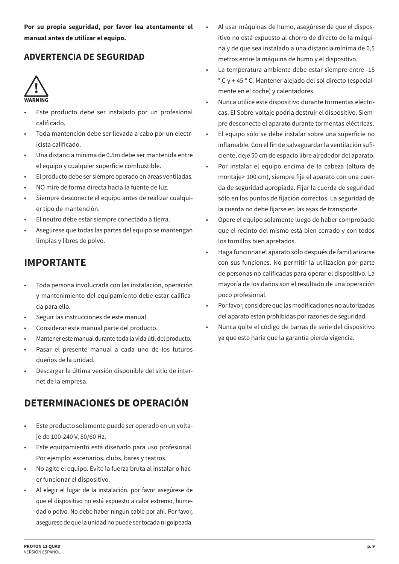**Por su propia seguridad, por favor lea atentamente el manual antes de utilizar el equipo.**

## **ADVERTENCIA DE SEGURIDAD**



- Este producto debe ser instalado por un profesional calificado.
- Toda mantención debe ser llevada a cabo por un electricista calificado.
- Una distancia mínima de 0.5m debe ser mantenida entre el equipo y cualquier superficie combustible.
- El producto debe ser siempre operado en áreas ventiladas.
- NO mire de forma directa hacia la fuente de luz.
- Siempre desconecte el equipo antes de realizar cualquier tipo de mantención.
- El neutro debe estar siempre conectado a tierra.
- Asegúrese que todas las partes del equipo se mantengan limpias y libres de polvo.

# **IMPORTANTE**

- Toda persona involucrada con las instalación, operación y mantenimiento del equipamiento debe estar calificada para ello.
- Seguir las instrucciones de este manual.
- Considerar este manual parte del producto.
- Mantener este manual durante toda la vida útil del producto.
- Pasar el presente manual a cada uno de los futuros dueños de la unidad.
- Descargar la última versión disponible del sitio de internet de la empresa.

# **DETERMINACIONES DE OPERACIÓN**

- Este producto solamente puede ser operado en un voltaje de 100-240 V, 50/60 Hz.
- Este equipamiento está diseñado para uso profesional. Por ejemplo: escenarios, clubs, bares y teatros.
- No agite el equipo. Evite la fuerza bruta al instalar o hacer funcionar el dispositivo.
- Al elegir el lugar de la instalación, por favor asegúrese de que el dispositivo no está expuesto a calor extremo, humedad o polvo. No debe haber ningún cable por ahí. Por favor, asegúrese de que la unidad no puede ser tocada ni golpeada.
- Al usar máquinas de humo, asegúrese de que el dispositivo no está expuesto al chorro de directo de la máquina y de que sea instalado a una distancia mínima de 0,5 metros entre la máquina de humo y el dispositivo.
- La temperatura ambiente debe estar siempre entre -15 ° C y + 45 ° C. Mantener alejado del sol directo (especialmente en el coche) y calentadores.
- Nunca utilice este dispositivo durante tormentas eléctricas. El Sobre-voltaje podría destruir el dispositivo. Siempre desconecte el aparato durante tormentas eléctricas.
- El equipo sólo se debe instalar sobre una superficie no inflamable. Con el fin de salvaguardar la ventilación suficiente, deje 50 cm de espacio libre alrededor del aparato.
- Por instalar el equipo encima de la cabeza (altura de montaje> 100 cm), siempre fije el aparato con una cuerda de seguridad apropiada. Fijar la cuerda de seguridad sólo en los puntos de fijación correctos. La seguridad de la cuerda no debe fijarse en las asas de transporte.
- Opere el equipo solamente luego de haber comprobado que el recinto del mismo está bien cerrado y con todos los tornillos bien apretados.
- Haga funcionar el aparato sólo después de familiarizarse con sus funciones. No permitir la utilización por parte de personas no calificadas para operar el dispositivo. La mayoría de los daños son el resultado de una operación poco profesional.
- Por favor, considere que las modificaciones no autorizadas del aparato están prohibidas por razones de seguridad.
- Nunca quite el código de barras de serie del dispositivo ya que esto haría que la garantía pierda vigencia.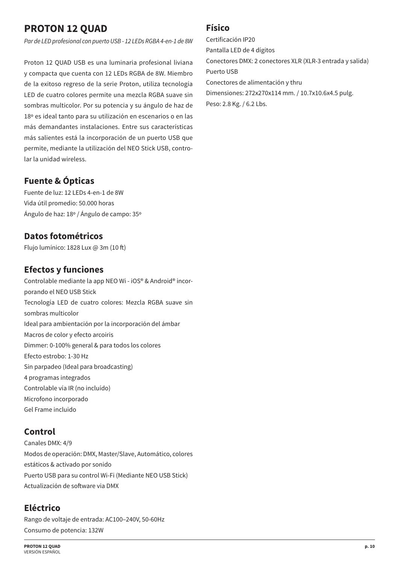# **PROTON 12 QUAD**

*Par de LED profesional con puerto USB - 12 LEDs RGBA 4-en-1 de 8W*

Proton 12 QUAD USB es una luminaria profesional liviana y compacta que cuenta con 12 LEDs RGBA de 8W. Miembro de la exitoso regreso de la serie Proton, utiliza tecnología LED de cuatro colores permite una mezcla RGBA suave sin sombras multicolor. Por su potencia y su ángulo de haz de 18º es ideal tanto para su utilización en escenarios o en las más demandantes instalaciones. Entre sus características más salientes está la incorporación de un puerto USB que permite, mediante la utilización del NEO Stick USB, controlar la unidad wireless.

## **Fuente & Ópticas**

Fuente de luz: 12 LEDs 4-en-1 de 8W Vida útil promedio: 50.000 horas Ángulo de haz: 18º / Ángulo de campo: 35º

## **Datos fotométricos**

Flujo lumínico: 1828 Lux @ 3m (10 f)

## **Efectos y funciones**

Controlable mediante la app NEO Wi - iOS® & Android® incorporando el NEO USB Stick Tecnología LED de cuatro colores: Mezcla RGBA suave sin sombras multicolor Ideal para ambientación por la incorporación del ámbar Macros de color y efecto arcoiris Dimmer: 0-100% general & para todos los colores Efecto estrobo: 1-30 Hz Sin parpadeo (Ideal para broadcasting) 4 programas integrados Controlable vía IR (no incluído) Microfono incorporado Gel Frame incluido

#### **Control**

Canales DMX: 4/9 Modos de operación: DMX, Master/Slave, Automático, colores estáticos & activado por sonido Puerto USB para su control Wi-Fi (Mediante NEO USB Stick) Actualización de sofware via DMX

## **Eléctrico**

Rango de voltaje de entrada: AC100–240V, 50-60Hz Consumo de potencia: 132W

#### **Físico**

Certificación IP20 Pantalla LED de 4 dígitos Conectores DMX: 2 conectores XLR (XLR-3 entrada y salida) Puerto USB Conectores de alimentación y thru Dimensiones: 272x270x114 mm. / 10.7x10.6x4.5 pulg. Peso: 2.8 Kg. / 6.2 Lbs.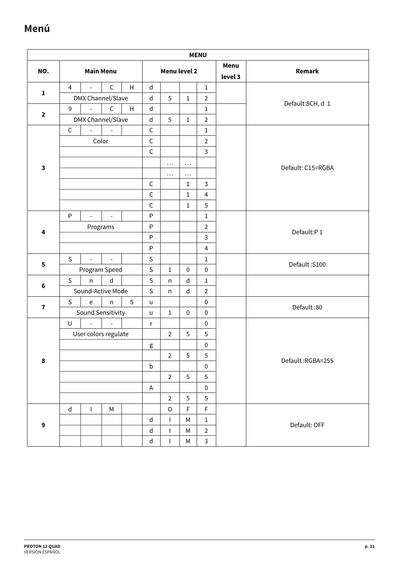# **Menú**

|                         |                |                      |                          |              |              |                |              | <b>MENU</b>    |                 |                   |
|-------------------------|----------------|----------------------|--------------------------|--------------|--------------|----------------|--------------|----------------|-----------------|-------------------|
| NO.                     |                |                      | <b>Main Menu</b>         |              |              | Menu level 2   |              |                | Menu<br>level 3 | Remark            |
|                         | $\overline{4}$ | $\overline{a}$       | $\mathsf C$              | H            | $\mathsf{d}$ |                |              | $\mathbf{1}$   |                 |                   |
| $\mathbf{1}$            |                | DMX Channel/Slave    |                          |              | $\sf d$      | 5              | $1\,$        | $\overline{2}$ |                 |                   |
| $\mathbf{2}$            | $\mathsf 9$    |                      | $\mathsf C$              | H            | $\sf d$      |                |              | $\mathbf{1}$   |                 | Default:8CH, d 1  |
|                         |                | DMX Channel/Slave    |                          |              | $\mathsf{d}$ | 5              | $1\,$        | $\overline{2}$ |                 |                   |
|                         | $\mathsf C$    | $\overline{a}$       |                          |              | $\mathsf C$  |                |              | $\mathbf 1$    |                 |                   |
|                         |                |                      | Color                    |              | $\mathsf C$  |                |              | $\overline{2}$ |                 |                   |
|                         |                |                      |                          |              | $\mathsf C$  |                |              | $\mathbf{3}$   |                 |                   |
| $\overline{\mathbf{3}}$ |                |                      |                          |              |              | $\cdots$       | $\cdots$     |                |                 | Default: C15=RGBA |
|                         |                |                      |                          |              |              | $\cdots$       | $\cdots$     |                |                 |                   |
|                         |                |                      |                          |              | $\mathsf C$  |                | $\mathbf{1}$ | $\overline{3}$ |                 |                   |
|                         |                |                      |                          |              | $\mathsf C$  |                | $\mathbf 1$  | $\overline{4}$ |                 |                   |
|                         |                |                      |                          |              | $\mathsf C$  |                | $1\,$        | 5              |                 |                   |
|                         | P              | $\overline{a}$       | $\overline{\phantom{a}}$ |              | P            |                |              | $1\,$          |                 |                   |
| $\overline{\mathbf{4}}$ |                |                      | Programs                 |              | ${\sf P}$    |                |              | $\overline{2}$ |                 | Default:P1        |
|                         |                |                      |                          |              | $\mathsf{P}$ |                |              | $\mathbf{3}$   |                 |                   |
|                         |                |                      |                          |              | $\sf P$      |                |              | $\overline{4}$ |                 |                   |
| ${\bf 5}$               | $\mathsf{S}$   | $\mathbb{L}$         | $\blacksquare$           |              | $\mathsf S$  |                |              | $\,1\,$        |                 | Default: S100     |
|                         |                | Program Speed        |                          |              | $\mathsf{S}$ | $\mathbf 1$    | $\pmb{0}$    | $\pmb{0}$      |                 |                   |
| $\bf 6$                 | $\mathsf S$    | $\mathsf{n}$         | $\sf d$                  |              | $\mathsf{S}$ | n              | $\mathsf{d}$ | $1\,$          |                 |                   |
|                         |                | Sound-Active Mode    |                          |              | $\mathsf S$  | n              | $\sf d$      | $\overline{2}$ |                 |                   |
| $\overline{\mathbf{r}}$ | $\mathsf S$    | $\mathsf{e}\,$       | n.                       | $\mathsf{S}$ | u            |                |              | $\pmb{0}$      |                 | Default:80        |
|                         |                | Sound Sensitivity    |                          |              | $\mathsf{u}$ | $\mathbf{1}$   | $\pmb{0}$    | $\pmb{0}$      |                 |                   |
|                         | $\sf U$        | $\overline{a}$       |                          |              | r            |                |              | $\pmb{0}$      |                 |                   |
|                         |                | User colors regulate |                          |              |              | $\overline{2}$ | 5            | 5              |                 |                   |
|                         |                |                      |                          |              | g            |                |              | $\pmb{0}$      |                 |                   |
| $\pmb{8}$               |                |                      |                          |              |              | $\overline{2}$ | 5            | $\sqrt{5}$     |                 | Default:RGBA=255  |
|                         |                |                      |                          |              | $\sf b$      |                |              | $\pmb{0}$      |                 |                   |
|                         |                |                      |                          |              |              | $\overline{2}$ | 5            | $\sqrt{5}$     |                 |                   |
|                         |                |                      |                          |              | $\mathsf A$  |                |              | $\pmb{0}$      |                 |                   |
|                         |                |                      |                          |              |              | $\overline{2}$ | $\sqrt{5}$   | $\overline{5}$ |                 |                   |
|                         | $\mathsf{d}$   | T                    | M                        |              |              | $\mathsf O$    | $\mathsf F$  | $\mathsf F$    |                 |                   |
| $\boldsymbol{9}$        |                |                      |                          |              | $\mathsf{d}$ | T              | M            | $1\,$          |                 | Default: OFF      |
|                         |                |                      |                          |              | ${\sf d}$    | T              | M            | $\sqrt{2}$     |                 |                   |
|                         |                |                      |                          |              | ${\sf d}$    | $\mathsf{l}$   | М            | $\mathsf{3}$   |                 |                   |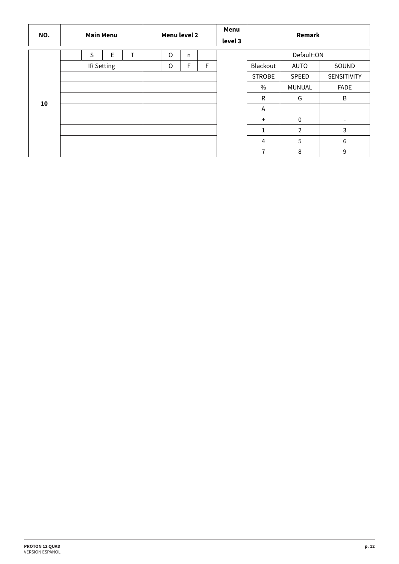| NO. | <b>Main Menu</b> | Menu level 2 |              |   | Menu<br>level 3 | Remark         |                |                          |
|-----|------------------|--------------|--------------|---|-----------------|----------------|----------------|--------------------------|
|     | E<br>T.<br>S     | $\circ$      | $\mathsf{n}$ |   |                 |                | Default:ON     |                          |
|     | IR Setting       | O            | F            | F |                 | Blackout       | AUTO           | SOUND                    |
|     |                  |              |              |   |                 | <b>STROBE</b>  | SPEED          | SENSITIVITY              |
|     |                  |              |              |   |                 | $\frac{0}{0}$  | <b>MUNUAL</b>  | <b>FADE</b>              |
| 10  |                  |              |              |   |                 | $\mathsf{R}$   | G              | B                        |
|     |                  |              |              |   |                 | Α              |                |                          |
|     |                  |              |              |   |                 | $+$            | $\mathbf{0}$   | $\overline{\phantom{a}}$ |
|     |                  |              |              |   |                 | 1              | $\overline{2}$ | 3                        |
|     |                  |              |              |   |                 | $\overline{4}$ | 5              | 6                        |
|     |                  |              |              |   |                 | $\overline{7}$ | 8              | 9                        |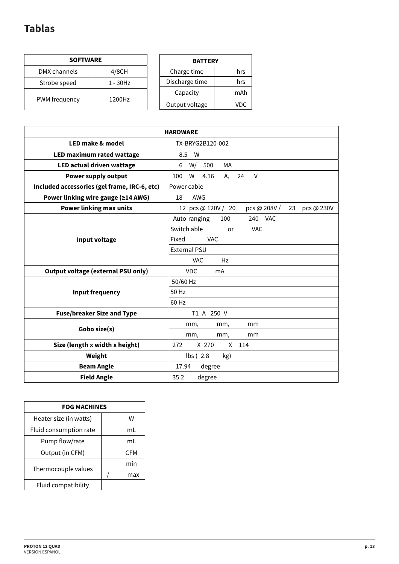# **Tablas**

| <b>SOFTWARE</b> |             |  |  |  |  |  |  |  |
|-----------------|-------------|--|--|--|--|--|--|--|
| DMX channels    | 4/8CH       |  |  |  |  |  |  |  |
| Strobe speed    | $1 - 30$ Hz |  |  |  |  |  |  |  |
| PWM frequency   | 1200Hz      |  |  |  |  |  |  |  |

| <b>BATTERY</b> |     |  |  |  |  |  |  |
|----------------|-----|--|--|--|--|--|--|
| Charge time    | hrs |  |  |  |  |  |  |
| Discharge time | hrs |  |  |  |  |  |  |
| Capacity       | mAh |  |  |  |  |  |  |
| Output voltage | VDC |  |  |  |  |  |  |

| <b>HARDWARE</b>                              |                                                        |  |  |  |
|----------------------------------------------|--------------------------------------------------------|--|--|--|
| <b>LED make &amp; model</b>                  | TX-BRYG2B120-002                                       |  |  |  |
| LED maximum rated wattage                    | 8.5<br>- W                                             |  |  |  |
| LED actual driven wattage                    | MA<br>W/<br>6<br>500                                   |  |  |  |
| <b>Power supply output</b>                   | W<br>100<br>4.16<br>V<br>А,<br>24                      |  |  |  |
| Included accessories (gel frame, IRC-6, etc) | Power cable                                            |  |  |  |
| Power linking wire gauge (≥14 AWG)           | 18<br>AWG                                              |  |  |  |
| <b>Power linking max units</b>               | 12 pcs @ 120V / 20<br>pcs @ 208V /<br>pcs @ 230V<br>23 |  |  |  |
|                                              | Auto-ranging<br>100<br>240 VAC<br>$\sim$               |  |  |  |
|                                              | Switch able<br><b>VAC</b><br>or                        |  |  |  |
| Input voltage                                | <b>VAC</b><br>Fixed                                    |  |  |  |
|                                              | External PSU                                           |  |  |  |
|                                              | Hz<br><b>VAC</b>                                       |  |  |  |
| <b>Output voltage (external PSU only)</b>    | <b>VDC</b><br>mA                                       |  |  |  |
|                                              | 50/60 Hz                                               |  |  |  |
| <b>Input frequency</b>                       | 50 Hz                                                  |  |  |  |
|                                              | 60 Hz                                                  |  |  |  |
| <b>Fuse/breaker Size and Type</b>            | T1 A 250 V                                             |  |  |  |
|                                              | mm,<br>mm,<br>mm                                       |  |  |  |
| Gobo size(s)                                 | mm<br>mm,<br>mm,                                       |  |  |  |
| Size (length x width x height)               | X 270<br>X<br>272<br>114                               |  |  |  |
| Weight                                       | $\mathsf{lbs}$ (2.8)<br>kg)                            |  |  |  |
| <b>Beam Angle</b>                            | 17.94<br>degree                                        |  |  |  |
| <b>Field Angle</b>                           | 35.2<br>degree                                         |  |  |  |

| <b>FOG MACHINES</b>    |  |            |  |  |  |
|------------------------|--|------------|--|--|--|
| Heater size (in watts) |  | w          |  |  |  |
| Fluid consumption rate |  | ml         |  |  |  |
| Pump flow/rate         |  | ml         |  |  |  |
| Output (in CFM)        |  | <b>CFM</b> |  |  |  |
|                        |  | min        |  |  |  |
| Thermocouple values    |  | max        |  |  |  |
| Fluid compatibility    |  |            |  |  |  |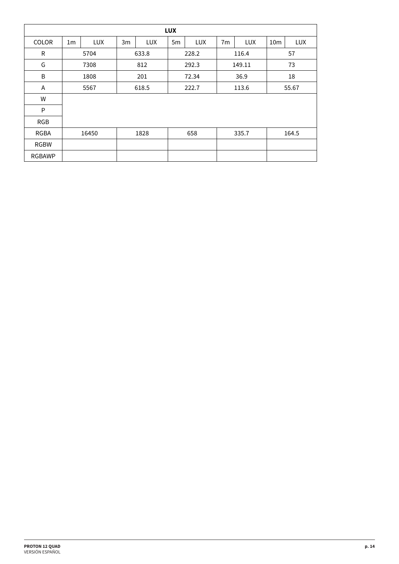| <b>LUX</b>    |                |            |       |       |       |            |                |            |                 |       |  |
|---------------|----------------|------------|-------|-------|-------|------------|----------------|------------|-----------------|-------|--|
| <b>COLOR</b>  | 1 <sub>m</sub> | <b>LUX</b> | 3m    | LUX   | 5m    | <b>LUX</b> | 7 <sub>m</sub> | <b>LUX</b> | 10 <sub>m</sub> | LUX   |  |
| R             |                | 5704       |       | 633.8 |       | 228.2      |                | 116.4      |                 | 57    |  |
| G             | 7308           |            | 812   |       |       | 292.3      |                | 149.11     |                 | 73    |  |
| B             | 1808           |            | 201   |       | 72.34 |            | 36.9           |            | 18              |       |  |
| A             | 5567           |            | 618.5 |       |       | 222.7      |                | 113.6      |                 | 55.67 |  |
| W             |                |            |       |       |       |            |                |            |                 |       |  |
| P             |                |            |       |       |       |            |                |            |                 |       |  |
| <b>RGB</b>    |                |            |       |       |       |            |                |            |                 |       |  |
| <b>RGBA</b>   | 1828<br>16450  |            |       |       | 658   |            | 335.7          |            | 164.5           |       |  |
| <b>RGBW</b>   |                |            |       |       |       |            |                |            |                 |       |  |
| <b>RGBAWP</b> |                |            |       |       |       |            |                |            |                 |       |  |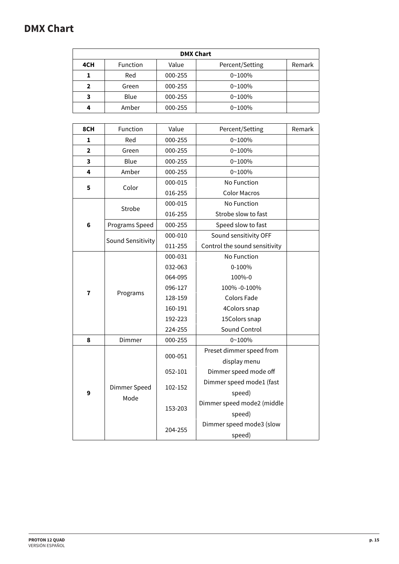# **DMX Chart**

| <b>DMX Chart</b> |                 |         |                 |        |  |  |  |
|------------------|-----------------|---------|-----------------|--------|--|--|--|
| 4CH              | <b>Function</b> | Value   | Percent/Setting | Remark |  |  |  |
| 1                | Red             | 000-255 | $0 - 100%$      |        |  |  |  |
| $\mathbf 2$      | Green           | 000-255 | $0 - 100%$      |        |  |  |  |
| 3                | Blue            | 000-255 | $0 - 100%$      |        |  |  |  |
| 4                | Amber           | 000-255 | $0 - 100%$      |        |  |  |  |

| 8CH            | Function             | Value   | Percent/Setting               | Remark |
|----------------|----------------------|---------|-------------------------------|--------|
| 1              | Red                  | 000-255 | $0 - 100%$                    |        |
| $\overline{2}$ | Green                | 000-255 | $0 - 100%$                    |        |
| 3              | Blue                 | 000-255 | $0 - 100%$                    |        |
| 4              | Amber                | 000-255 | $0 - 100%$                    |        |
| 5              | Color                | 000-015 | No Function                   |        |
|                |                      | 016-255 | <b>Color Macros</b>           |        |
|                | Strobe               | 000-015 | No Function                   |        |
|                |                      | 016-255 | Strobe slow to fast           |        |
| 6              | Programs Speed       | 000-255 | Speed slow to fast            |        |
|                | Sound Sensitivity    | 000-010 | Sound sensitivity OFF         |        |
|                |                      | 011-255 | Control the sound sensitivity |        |
|                |                      | 000-031 | No Function                   |        |
|                |                      | 032-063 | 0-100%                        |        |
|                |                      | 064-095 | 100%-0                        |        |
| 7              | Programs             | 096-127 | 100% -0-100%                  |        |
|                |                      | 128-159 | <b>Colors Fade</b>            |        |
|                |                      | 160-191 | 4Colors snap                  |        |
|                |                      | 192-223 | 15Colors snap                 |        |
|                |                      | 224-255 | Sound Control                 |        |
| 8              | Dimmer               | 000-255 | $0 - 100%$                    |        |
|                | Dimmer Speed<br>Mode | 000-051 | Preset dimmer speed from      |        |
|                |                      |         | display menu                  |        |
| 9              |                      | 052-101 | Dimmer speed mode off         |        |
|                |                      | 102-152 | Dimmer speed mode1 (fast      |        |
|                |                      |         | speed)                        |        |
|                |                      | 153-203 | Dimmer speed mode2 (middle    |        |
|                |                      |         | speed)                        |        |
|                |                      | 204-255 | Dimmer speed mode3 (slow      |        |
|                |                      |         | speed)                        |        |